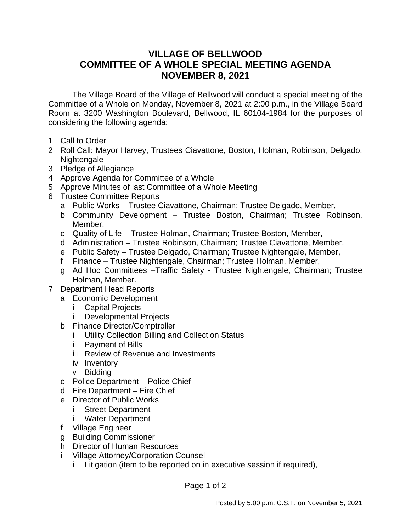## **VILLAGE OF BELLWOOD COMMITTEE OF A WHOLE SPECIAL MEETING AGENDA NOVEMBER 8, 2021**

The Village Board of the Village of Bellwood will conduct a special meeting of the Committee of a Whole on Monday, November 8, 2021 at 2:00 p.m., in the Village Board Room at 3200 Washington Boulevard, Bellwood, IL 60104-1984 for the purposes of considering the following agenda:

- 1 Call to Order
- 2 Roll Call: Mayor Harvey, Trustees Ciavattone, Boston, Holman, Robinson, Delgado, Nightengale
- 3 Pledge of Allegiance
- 4 Approve Agenda for Committee of a Whole
- 5 Approve Minutes of last Committee of a Whole Meeting
- 6 Trustee Committee Reports
	- a Public Works Trustee Ciavattone, Chairman; Trustee Delgado, Member,
	- b Community Development Trustee Boston, Chairman; Trustee Robinson, Member,
	- c Quality of Life Trustee Holman, Chairman; Trustee Boston, Member,
	- d Administration Trustee Robinson, Chairman; Trustee Ciavattone, Member,
	- e Public Safety Trustee Delgado, Chairman; Trustee Nightengale, Member,
	- f Finance Trustee Nightengale, Chairman; Trustee Holman, Member,
	- g Ad Hoc Committees –Traffic Safety Trustee Nightengale, Chairman; Trustee Holman, Member.
- 7 Department Head Reports
	- a Economic Development
		- i Capital Projects
		- ii Developmental Projects
	- b Finance Director/Comptroller
		- i Utility Collection Billing and Collection Status
		- ii Payment of Bills
		- iii Review of Revenue and Investments
		- iv Inventory
		- v Bidding
	- c Police Department Police Chief
	- d Fire Department Fire Chief
	- e Director of Public Works
		- i Street Department
		- ii Water Department
	- f Village Engineer
	- g Building Commissioner
	- h Director of Human Resources
	- i Village Attorney/Corporation Counsel
		- i Litigation (item to be reported on in executive session if required),